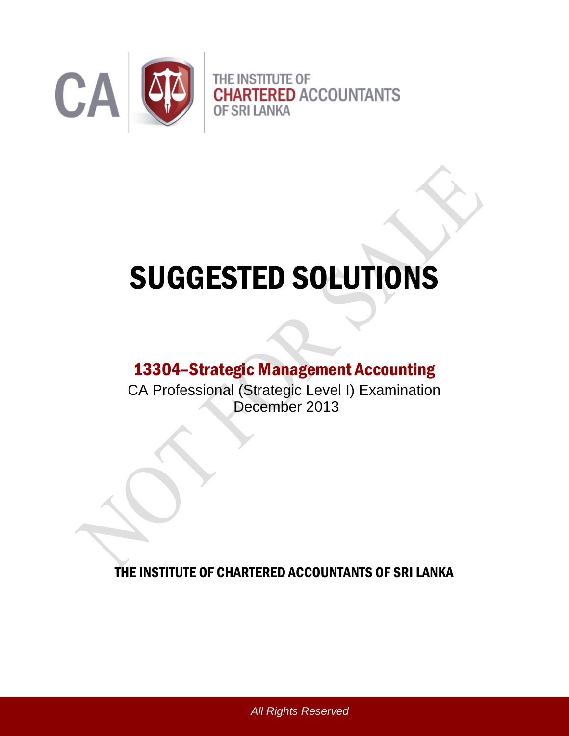

# SUGGESTED SOLUTIONS

# 13304–Strategic Management Accounting

CA Professional (Strategic Level I) Examination December 2013

THE INSTITUTE OF CHARTERED ACCOUNTANTS OF SRI LANKA

*All Rights Reserved*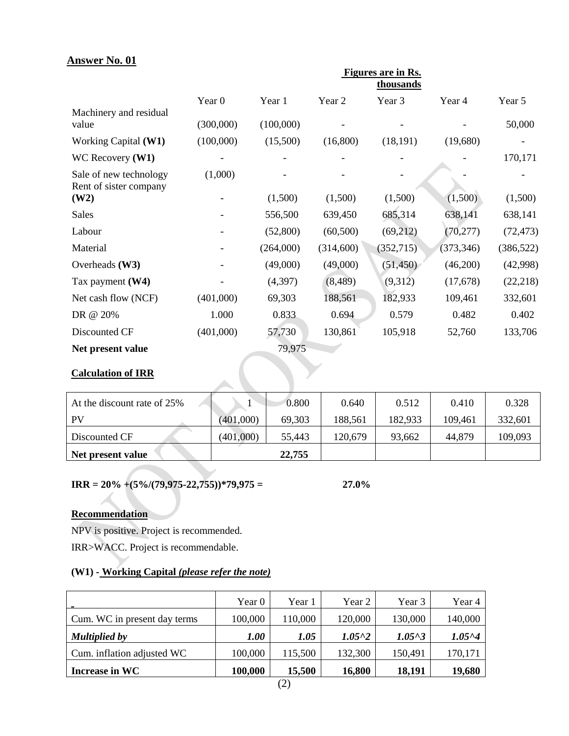|                                 | Figures are in Rs.<br>thousands |           |            |           |            |            |
|---------------------------------|---------------------------------|-----------|------------|-----------|------------|------------|
|                                 | Year <sub>0</sub>               | Year 1    | Year 2     | Year 3    | Year 4     | Year 5     |
| Machinery and residual<br>value | (300,000)                       | (100,000) |            |           |            | 50,000     |
| Working Capital (W1)            | (100,000)                       | (15,500)  | (16,800)   | (18, 191) | (19,680)   |            |
| WC Recovery (W1)                |                                 |           |            |           |            | 170,171    |
| Sale of new technology          | (1,000)                         |           |            |           |            |            |
| Rent of sister company<br>(W2)  |                                 | (1,500)   | (1,500)    | (1,500)   | (1,500)    | (1,500)    |
| <b>Sales</b>                    |                                 | 556,500   | 639,450    | 685,314   | 638,141    | 638,141    |
| Labour                          |                                 | (52,800)  | (60, 500)  | (69, 212) | (70, 277)  | (72, 473)  |
| Material                        |                                 | (264,000) | (314, 600) | (352,715) | (373, 346) | (386, 522) |
| Overheads (W3)                  |                                 | (49,000)  | (49,000)   | (51, 450) | (46,200)   | (42,998)   |
| Tax payment (W4)                |                                 | (4,397)   | (8, 489)   | (9,312)   | (17, 678)  | (22, 218)  |
| Net cash flow (NCF)             | (401,000)                       | 69,303    | 188,561    | 182,933   | 109,461    | 332,601    |
| DR @ 20%                        | 1.000                           | 0.833     | 0.694      | 0.579     | 0.482      | 0.402      |
| Discounted CF                   | (401,000)                       | 57,730    | 130,861    | 105,918   | 52,760     | 133,706    |
| Net present value               |                                 | 79,975    |            |           |            |            |
| <b>Calculation of IRR</b>       |                                 |           |            |           |            |            |

# **Calculation of IRR**

| At the discount rate of 25% |           | 0.800  | 0.640   | 0.512   | 0.410   | 0.328   |
|-----------------------------|-----------|--------|---------|---------|---------|---------|
| PV                          | (401,000) | 69,303 | 188,561 | 182,933 | 109,461 | 332,601 |
| Discounted CF               | (401,000) | 55,443 | 120,679 | 93,662  | 44,879  | 109,093 |
| Net present value           |           | 22,755 |         |         |         |         |

**IRR = 20% +(5%/(79,975-22,755))\*79,975 = 27.0%**

# **Recommendation**

NPV is positive. Project is recommended.

IRR>WACC. Project is recommendable.

# **(W1) - Working Capital** *(please refer the note)*

| Increase in WC               | 100,000 | 15,500  | 16,800          | 18,191     | 19,680           |
|------------------------------|---------|---------|-----------------|------------|------------------|
| Cum. inflation adjusted WC   | 100,000 | 115,500 | 132,300         | 150,491    | 170,171          |
| <b>Multiplied by</b>         | 1.00    | 1.05    | $1.05^{\circ}2$ | $1.05^{3}$ | $1.05^{\wedge}4$ |
| Cum. WC in present day terms | 100,000 | 110,000 | 120,000         | 130,000    | 140,000          |
|                              | Year 0  | Year 1  | Year 2          | Year 3     | Year 4           |
|                              |         |         |                 |            |                  |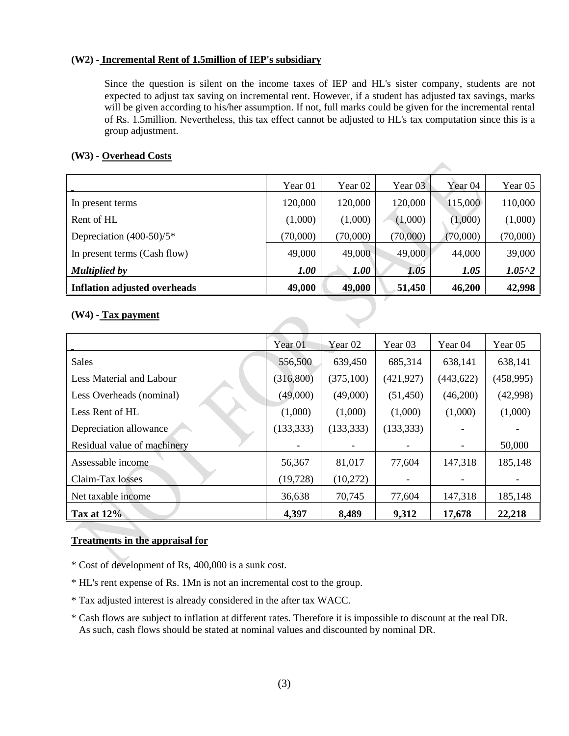#### **(W2) - Incremental Rent of 1.5million of IEP's subsidiary**

Since the question is silent on the income taxes of IEP and HL's sister company, students are not expected to adjust tax saving on incremental rent. However, if a student has adjusted tax savings, marks will be given according to his/her assumption. If not, full marks could be given for the incremental rental of Rs. 1.5million. Nevertheless, this tax effect cannot be adjusted to HL's tax computation since this is a group adjustment.

## **(W3) - Overhead Costs**

|                                     | Year 01  | Year 02  | Year <sub>03</sub> | Year 04  | Year 05         |
|-------------------------------------|----------|----------|--------------------|----------|-----------------|
| In present terms                    | 120,000  | 120,000  | 120,000            | 115,000  | 110,000         |
| Rent of HL                          | (1,000)  | (1,000)  | (1,000)            | (1,000)  | (1,000)         |
| Depreciation $(400-50)/5*$          | (70,000) | (70,000) | (70,000)           | (70,000) | (70,000)        |
| In present terms (Cash flow)        | 49,000   | 49,000   | 49,000             | 44,000   | 39,000          |
| <b>Multiplied by</b>                | 1.00     | 1.00     | 1.05               | 1.05     | $1.05^{\circ}2$ |
| <b>Inflation adjusted overheads</b> | 49,000   | 49,000   | 51,450             | 46,200   | 42,998          |

#### **(W4) - Tax payment**

|                             | Year 01    | Year 02    | Year 03    | Year 04    | Year 05   |
|-----------------------------|------------|------------|------------|------------|-----------|
| <b>Sales</b>                | 556,500    | 639,450    | 685,314    | 638,141    | 638,141   |
| Less Material and Labour    | (316, 800) | (375,100)  | (421, 927) | (443, 622) | (458,995) |
| Less Overheads (nominal)    | (49,000)   | (49,000)   | (51, 450)  | (46,200)   | (42,998)  |
| Less Rent of HL             | (1,000)    | (1,000)    | (1,000)    | (1,000)    | (1,000)   |
| Depreciation allowance      | (133, 333) | (133, 333) | (133, 333) |            |           |
| Residual value of machinery |            |            |            |            | 50,000    |
| Assessable income           | 56,367     | 81,017     | 77,604     | 147,318    | 185,148   |
| Claim-Tax losses            | (19, 728)  | (10,272)   |            |            |           |
| Net taxable income          | 36,638     | 70,745     | 77,604     | 147,318    | 185,148   |
| Tax at $12\%$               | 4,397      | 8,489      | 9,312      | 17,678     | 22,218    |

## **Treatments in the appraisal for**

\* Cost of development of Rs, 400,000 is a sunk cost.

- \* HL's rent expense of Rs. 1Mn is not an incremental cost to the group.
- \* Tax adjusted interest is already considered in the after tax WACC.
- \* Cash flows are subject to inflation at different rates. Therefore it is impossible to discount at the real DR. As such, cash flows should be stated at nominal values and discounted by nominal DR.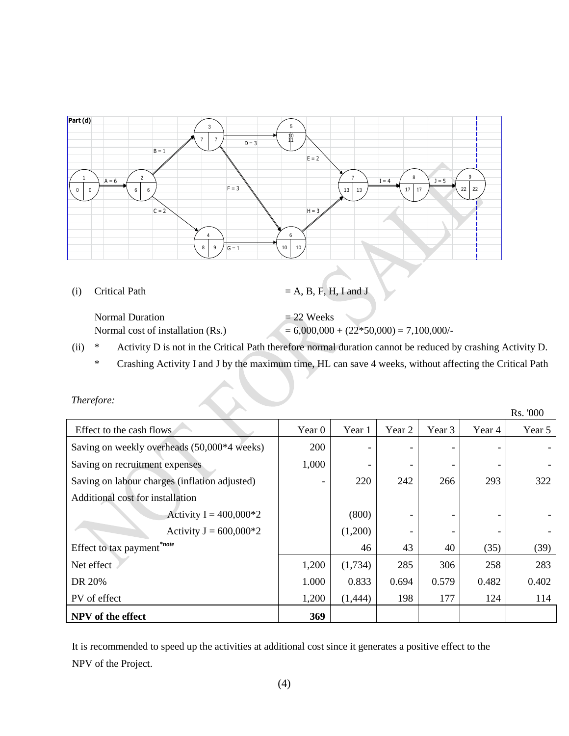

(i) Critical Path  $= A, B, F, H, I$  and J

Normal Duration  $= 22$  Weeks

Normal cost of installation (Rs.)  $= 6,000,000 + (22 * 50,000) = 7,100,000/$ 

- (ii) \* Activity D is not in the Critical Path therefore normal duration cannot be reduced by crashing Activity D.
	- \* Crashing Activity I and J by the maximum time, HL can save 4 weeks, without affecting the Critical Path

|                                               |                   |         |        |        |        | Rs. '000 |
|-----------------------------------------------|-------------------|---------|--------|--------|--------|----------|
| Effect to the cash flows                      | Year <sub>0</sub> | Year 1  | Year 2 | Year 3 | Year 4 | Year 5   |
| Saving on weekly overheads (50,000*4 weeks)   | 200               |         |        |        |        |          |
| Saving on recruitment expenses                | 1,000             |         |        |        |        |          |
| Saving on labour charges (inflation adjusted) |                   | 220     | 242    | 266    | 293    | 322      |
| Additional cost for installation              |                   |         |        |        |        |          |
| Activity I = $400,000*2$                      |                   | (800)   |        |        |        |          |
| Activity $J = 600,000*2$                      |                   | (1,200) |        |        |        |          |
| Effect to tax payment <sup>*note</sup>        |                   | 46      | 43     | 40     | (35)   | (39)     |
| Net effect                                    | 1,200             | (1,734) | 285    | 306    | 258    | 283      |
| DR 20%                                        | 1.000             | 0.833   | 0.694  | 0.579  | 0.482  | 0.402    |
| PV of effect                                  | 1,200             | (1,444) | 198    | 177    | 124    | 114      |
| NPV of the effect                             | 369               |         |        |        |        |          |

*Therefore:*

It is recommended to speed up the activities at additional cost since it generates a positive effect to the NPV of the Project.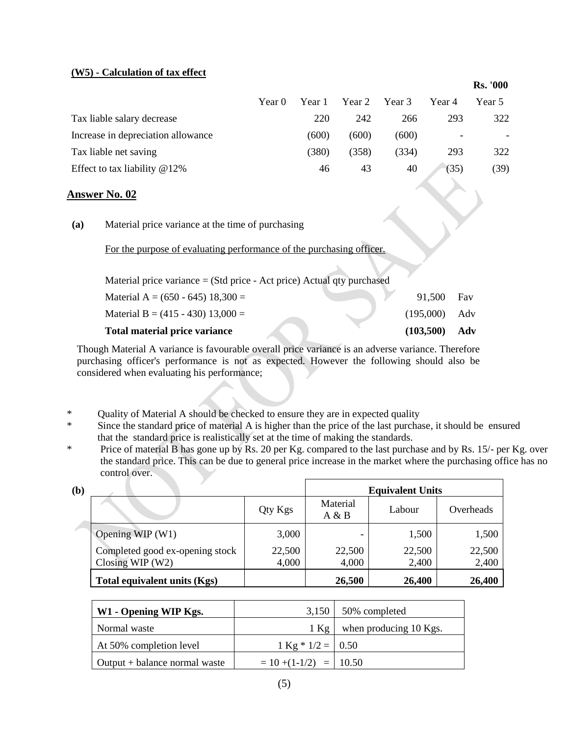#### **(W5) - Calculation of tax effect**

|        |        |        |        |        | ww. vvv |
|--------|--------|--------|--------|--------|---------|
| Year 0 | Year 1 | Year 2 | Year 3 | Year 4 | Year 5  |
|        | 220    | 242    | 266    | 293    | 322     |
|        | (600)  | (600)  | (600)  | -      |         |
|        | (380)  | (358)  | (334)  | 293    | 322     |
|        | 46     | 43     | 40     | (35)   | (39)    |
|        |        |        |        |        |         |

**Rs. '000**

#### **Answer No. 02**

**(a)** Material price variance at the time of purchasing

For the purpose of evaluating performance of the purchasing officer.

Material price variance = (Std price - Act price) Actual qty purchased Material A =  $(650 - 645)$  18,300 = 91,500 Fav Material B =  $(415 - 430) 13,000 =$  (195,000) Adv **Total material price variance (103,500) Adv** 

Though Material A variance is favourable overall price variance is an adverse variance. Therefore purchasing officer's performance is not as expected. However the following should also be considered when evaluating his performance;

- \* Quality of Material A should be checked to ensure they are in expected quality
- \* Since the standard price of material A is higher than the price of the last purchase, it should be ensured that the standard price is realistically set at the time of making the standards.
- \* Price of material B has gone up by Rs. 20 per Kg. compared to the last purchase and by Rs. 15/- per Kg. over the standard price. This can be due to general price increase in the market where the purchasing office has no control over.

| (b) |                                                       | <b>Equivalent Units</b> |                   |                 |                 |
|-----|-------------------------------------------------------|-------------------------|-------------------|-----------------|-----------------|
|     |                                                       | Qty Kgs                 | Material<br>A & B | Labour          | Overheads       |
|     | Opening WIP $(W1)$                                    | 3,000                   | ٠                 | 1,500           | 1,500           |
|     | Completed good ex-opening stock<br>Closing WIP $(W2)$ | 22,500<br>4,000         | 22,500<br>4,000   | 22,500<br>2,400 | 22,500<br>2,400 |
|     | Total equivalent units (Kgs)                          |                         | 26,500            | 26,400          | 26,400          |

| W1 - Opening WIP Kgs.           |                             | $3,150$   50% completed     |
|---------------------------------|-----------------------------|-----------------------------|
| Normal waste                    |                             | 1 Kg when producing 10 Kgs. |
| At 50% completion level         | $1 \text{ kg} * 1/2 = 0.50$ |                             |
| $Output + balance normal waste$ | $= 10 + (1-1/2) = 10.50$    |                             |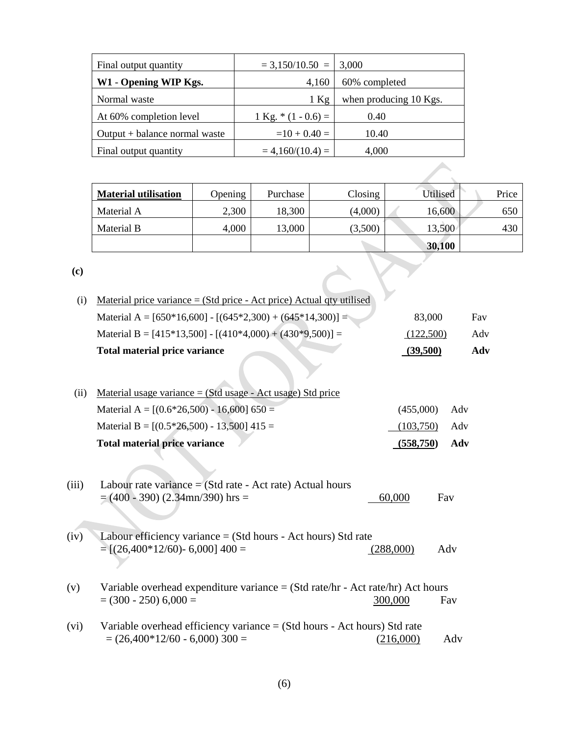| Final output quantity           | $= 3,150/10.50 =   3,000$ |                        |
|---------------------------------|---------------------------|------------------------|
| W1 - Opening WIP Kgs.           | 4,160                     | 60% completed          |
| Normal waste                    | $1$ Kg                    | when producing 10 Kgs. |
| At 60% completion level         | 1 Kg. $*(1 - 0.6) =$      | 0.40                   |
| Output $+$ balance normal waste | $=10 + 0.40 =$            | 10.40                  |
| Final output quantity           | $= 4,160/(10.4) =$        | 4,000                  |

| <b>Material utilisation</b> | <b>Opening</b> | Purchase | Closing | Utilised | Price |
|-----------------------------|----------------|----------|---------|----------|-------|
| Material A                  | 2,300          | 18,300   | (4,000) | 16,600   | 650   |
| Material B                  | 4,000          | 13,000   | (3,500) | 13,500   | 430   |
|                             |                |          |         | 30,100   |       |

**(c)**

| (i)   | Material price variance $=$ (Std price - Act price) Actual qty utilised                                        |            |     |     |
|-------|----------------------------------------------------------------------------------------------------------------|------------|-----|-----|
|       | Material A = $[650*16,600]$ - $[(645*2,300) + (645*14,300)] =$                                                 | 83,000     |     | Fav |
|       | Material B = $[415*13,500] - [(410*4,000) + (430*9,500)] =$                                                    | (122,500)  |     | Adv |
|       | <b>Total material price variance</b>                                                                           | (39,500)   |     | Adv |
|       |                                                                                                                |            |     |     |
| (ii)  | Material usage variance $=$ (Std usage - Act usage) Std price                                                  |            |     |     |
|       | Material A = $[(0.6*26,500) - 16,600]$ 650 =                                                                   | (455,000)  | Adv |     |
|       | Material B = $[(0.5*26,500) - 13,500]$ 415 =                                                                   | (103,750)  | Adv |     |
|       | <b>Total material price variance</b>                                                                           | (558, 750) | Adv |     |
| (iii) | Labour rate variance $=$ (Std rate - Act rate) Actual hours<br>$= (400 - 390) (2.34 \text{mn}/390)$ hrs =      | 60,000     | Fav |     |
| (iv)  | Labour efficiency variance $=$ (Std hours - Act hours) Std rate                                                |            |     |     |
|       | $=$ [ $(26,400*12/60)$ - 6,000] 400 =                                                                          | (288,000)  | Adv |     |
| (v)   | Variable overhead expenditure variance $= (Std rate/hr - Act rate/hr)$ Act hours                               |            |     |     |
|       | $= (300 - 250) 6,000 =$                                                                                        | 300,000    | Fav |     |
| (vi)  | Variable overhead efficiency variance $=$ (Std hours - Act hours) Std rate<br>$= (26,400*12/60 - 6,000) 300 =$ | (216,000)  | Adv |     |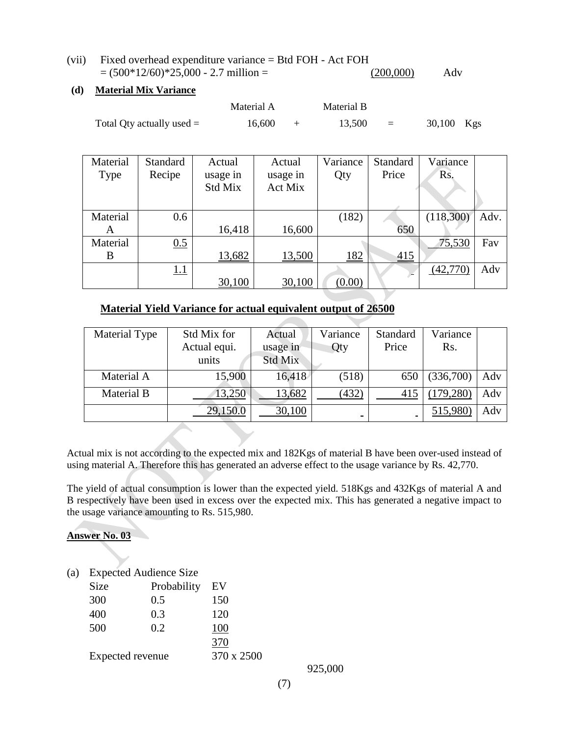- (vii) Fixed overhead expenditure variance = Btd FOH Act FOH  $= (500*12/60)*25,000 - 2.7 \text{ million} =$  (200,000) Adv
- **(d) Material Mix Variance**

|                             | Material A | Material B |          |            |  |
|-----------------------------|------------|------------|----------|------------|--|
| Total Qty actually used $=$ | 16.600     | 13.500     | $\equiv$ | 30,100 Kgs |  |

| Material | Standard | Actual   | Actual   | Variance   | Standard | Variance  |      |
|----------|----------|----------|----------|------------|----------|-----------|------|
| Type     | Recipe   | usage in | usage in | Qty        | Price    | Rs.       |      |
|          |          | Std Mix  | Act Mix  |            |          |           |      |
|          |          |          |          |            |          |           |      |
| Material | 0.6      |          |          | (182)      |          | (118,300) | Adv. |
| A        |          | 16,418   | 16,600   |            | 650      |           |      |
| Material | 0.5      |          |          |            |          | 75,530    | Fav  |
| B        |          | 13,682   | 13,500   | <u>182</u> | 415      |           |      |
|          | 1.1      |          |          |            |          | (42,770)  | Adv  |
|          |          | 30,100   | 30,100   | (0.00)     |          |           |      |

# **Material Yield Variance for actual equivalent output of 26500**

| Material Type | Std Mix for           | Actual              | Variance | Standard | Variance   |     |
|---------------|-----------------------|---------------------|----------|----------|------------|-----|
|               | Actual equi.<br>units | usage in<br>Std Mix | Qty      | Price    | Rs.        |     |
| Material A    | 15,900                | 16,418              | (518)    | 650      | (336,700)  | Adv |
| Material B    | 13,250                | 13,682              | (432)    | 415      | (179, 280) | Adv |
|               | 29,150.0              | 30,100              |          |          | 515,980    | Adv |

Actual mix is not according to the expected mix and 182Kgs of material B have been over-used instead of using material A. Therefore this has generated an adverse effect to the usage variance by Rs. 42,770.

The yield of actual consumption is lower than the expected yield. 518Kgs and 432Kgs of material A and B respectively have been used in excess over the expected mix. This has generated a negative impact to the usage variance amounting to Rs. 515,980.

**Answer No. 03**

(a) Expected Audience Size

| Size             | Probability | EV         |
|------------------|-------------|------------|
| 300              | 0.5         | 150        |
| 400              | 0.3         | 120        |
| 500              | 0.2         | 100        |
|                  |             | 370        |
| Expected revenue |             | 370 x 2500 |

925,000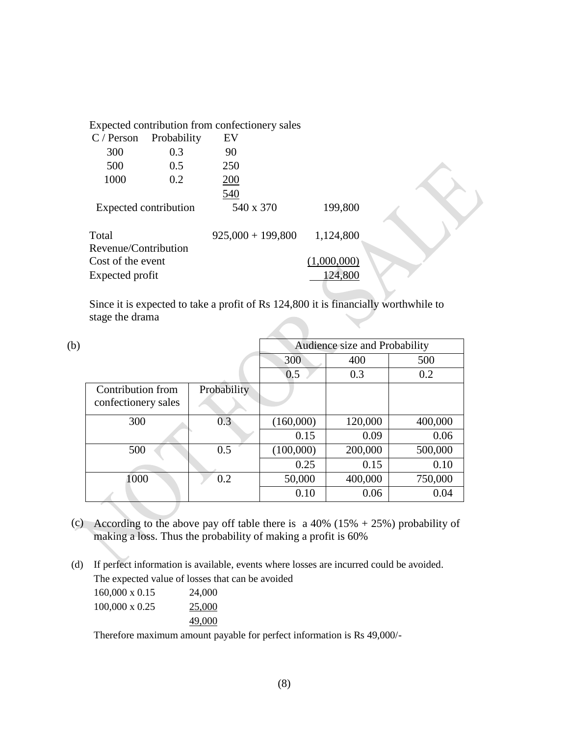Expected contribution from confectionery sales

| C / Person            | Probability | EV                  |             |
|-----------------------|-------------|---------------------|-------------|
| 300                   | 0.3         | 90                  |             |
| 500                   | 0.5         | 250                 |             |
| 1000                  | 0.2         | 200                 |             |
|                       |             | 540                 |             |
| Expected contribution |             | 540 x 370           | 199,800     |
| Total                 |             | $925,000 + 199,800$ | 1,124,800   |
| Revenue/Contribution  |             |                     |             |
| Cost of the event     |             |                     | (1,000,000) |
| Expected profit       |             |                     | 124,800     |

Since it is expected to take a profit of Rs 124,800 it is financially worthwhile to stage the drama

| (b) |                                          |             | Audience size and Probability |         |         |  |  |
|-----|------------------------------------------|-------------|-------------------------------|---------|---------|--|--|
|     |                                          |             | 300                           | 400     | 500     |  |  |
|     |                                          |             | 0.5                           | 0.3     | 0.2     |  |  |
|     | Contribution from<br>confectionery sales | Probability |                               |         |         |  |  |
|     | 300                                      | 0.3         | (160,000)                     | 120,000 | 400,000 |  |  |
|     |                                          |             | 0.15                          | 0.09    | 0.06    |  |  |
|     | 500                                      | 0.5         | (100,000)                     | 200,000 | 500,000 |  |  |
|     |                                          |             | 0.25                          | 0.15    | 0.10    |  |  |
|     | 1000                                     | 0.2         | 50,000                        | 400,000 | 750,000 |  |  |
|     |                                          |             | 0.10                          | 0.06    | 0.04    |  |  |
|     |                                          |             |                               |         |         |  |  |

- (c) According to the above pay off table there is a 40% (15%  $+ 25%$ ) probability of making a loss. Thus the probability of making a profit is 60%
- (d) If perfect information is available, events where losses are incurred could be avoided. The expected value of losses that can be avoided

| $160,000 \times 0.15$ | 24,000 |
|-----------------------|--------|
| $100,000 \times 0.25$ | 25,000 |
|                       | 49,000 |

Therefore maximum amount payable for perfect information is Rs 49,000/-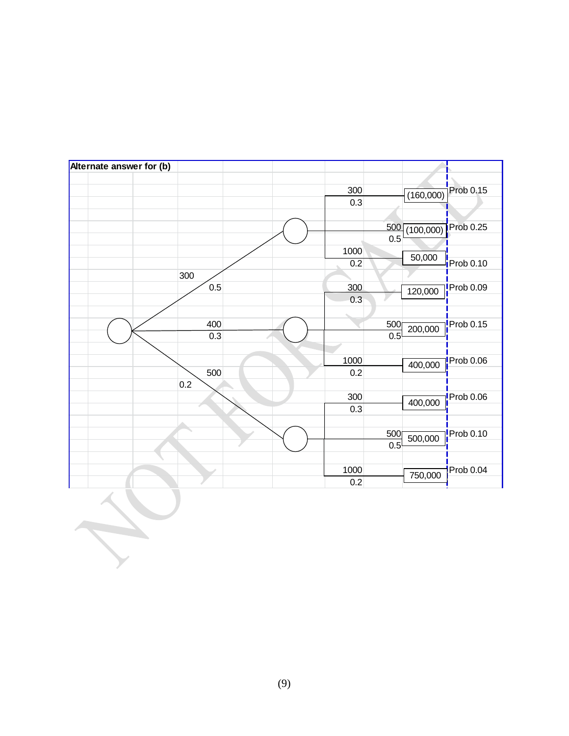| Alternate answer for (b) |     |  |             |                  |           |                  |
|--------------------------|-----|--|-------------|------------------|-----------|------------------|
|                          |     |  |             |                  |           |                  |
|                          |     |  | 300<br>0.3  |                  | (160,000) | Prob 0.15        |
|                          |     |  |             |                  |           |                  |
|                          |     |  |             | 500              | (100,000) | <b>Prob 0.25</b> |
|                          |     |  | 1000        | 0.5              |           |                  |
|                          |     |  | 0.2         |                  | 50,000    | Prob 0.10        |
| 300                      |     |  |             |                  |           |                  |
|                          | 0.5 |  | 300         |                  | 120,000   | Prob 0.09        |
|                          |     |  | 0.3         |                  |           |                  |
|                          | 400 |  |             | 500              |           | Prob 0.15        |
|                          | 0.3 |  |             | 0.5              | 200,000   |                  |
|                          |     |  |             |                  |           |                  |
|                          | 500 |  | 1000<br>0.2 |                  | 400,000   | Prob 0.06        |
| 0.2                      |     |  |             |                  |           |                  |
|                          |     |  | 300         |                  | 400,000   | Prob 0.06        |
|                          |     |  | 0.3         |                  |           |                  |
|                          |     |  |             | 500              |           | Prob 0.10        |
|                          |     |  |             | $\overline{0.5}$ | 500,000   |                  |
|                          |     |  |             |                  |           |                  |
|                          |     |  | 1000<br>0.2 |                  | 750,000   | Prob 0.04        |
|                          |     |  |             |                  |           |                  |
|                          |     |  |             |                  |           |                  |
|                          |     |  |             |                  |           |                  |
|                          |     |  |             |                  |           |                  |
|                          |     |  |             |                  |           |                  |
|                          |     |  |             |                  |           |                  |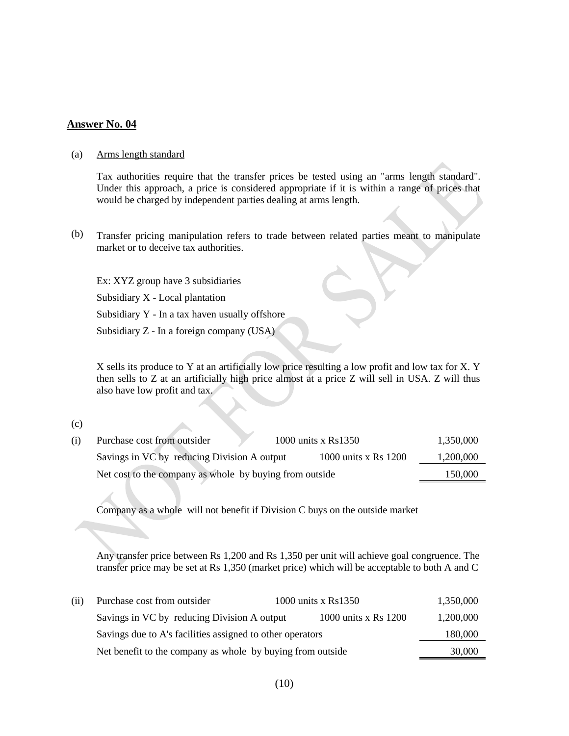#### (a) Arms length standard

Tax authorities require that the transfer prices be tested using an "arms length standard". Under this approach, a price is considered appropriate if it is within a range of prices that would be charged by independent parties dealing at arms length.

(b) Transfer pricing manipulation refers to trade between related parties meant to manipulate market or to deceive tax authorities.

Ex: XYZ group have 3 subsidiaries Subsidiary X - Local plantation Subsidiary Y - In a tax haven usually offshore Subsidiary Z - In a foreign company (USA)

X sells its produce to Y at an artificially low price resulting a low profit and low tax for X. Y then sells to Z at an artificially high price almost at a price Z will sell in USA. Z will thus also have low profit and tax.

(c)

| (i) | Purchase cost from outsider                             | $1000$ units x $Rs1350$ | 1,350,000 |
|-----|---------------------------------------------------------|-------------------------|-----------|
|     | Savings in VC by reducing Division A output             | 1000 units x Rs 1200    | 1,200,000 |
|     | Net cost to the company as whole by buying from outside |                         | 150,000   |

Company as a whole will not benefit if Division C buys on the outside market

Any transfer price between Rs 1,200 and Rs 1,350 per unit will achieve goal congruence. The transfer price may be set at Rs 1,350 (market price) which will be acceptable to both A and C

(ii) Purchase cost from outsider 1000 units x Rs1350 1,350,000 Savings in VC by reducing Division A output 1000 units x Rs 1200 1,200,000 Savings due to A's facilities assigned to other operators 180,000 Net benefit to the company as whole by buying from outside 30,000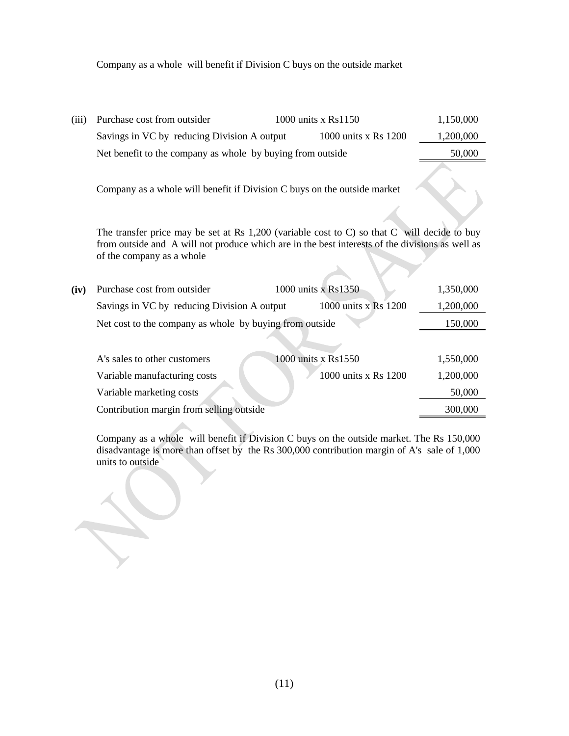# Company as a whole will benefit if Division C buys on the outside market

| (iii) | Purchase cost from outsider                                                                                                                                                                                                   | 1000 units $x$ Rs1150 | 1,150,000 |
|-------|-------------------------------------------------------------------------------------------------------------------------------------------------------------------------------------------------------------------------------|-----------------------|-----------|
|       | Savings in VC by reducing Division A output                                                                                                                                                                                   | 1000 units x Rs 1200  | 1,200,000 |
|       | Net benefit to the company as whole by buying from outside                                                                                                                                                                    |                       | 50,000    |
|       |                                                                                                                                                                                                                               |                       |           |
|       | Company as a whole will benefit if Division C buys on the outside market                                                                                                                                                      |                       |           |
|       |                                                                                                                                                                                                                               |                       |           |
|       | The transfer price may be set at Rs $1,200$ (variable cost to C) so that C will decide to buy<br>from outside and A will not produce which are in the best interests of the divisions as well as<br>of the company as a whole |                       |           |
|       |                                                                                                                                                                                                                               |                       |           |
| (iv)  | Purchase cost from outsider                                                                                                                                                                                                   | 1000 units x Rs1350   | 1,350,000 |
|       | Savings in VC by reducing Division A output                                                                                                                                                                                   | 1000 units x Rs 1200  | 1,200,000 |
|       | Net cost to the company as whole by buying from outside                                                                                                                                                                       |                       | 150,000   |
|       |                                                                                                                                                                                                                               |                       |           |
|       | A's sales to other customers                                                                                                                                                                                                  | 1000 units x Rs1550   | 1,550,000 |
|       | Variable manufacturing costs                                                                                                                                                                                                  | 1000 units x Rs 1200  | 1,200,000 |
|       | Variable marketing costs                                                                                                                                                                                                      |                       | 50,000    |
|       | Contribution margin from selling outside                                                                                                                                                                                      |                       | 300,000   |

Company as a whole will benefit if Division C buys on the outside market. The Rs 150,000 disadvantage is more than offset by the Rs 300,000 contribution margin of A's sale of 1,000 units to outside

 $\geq$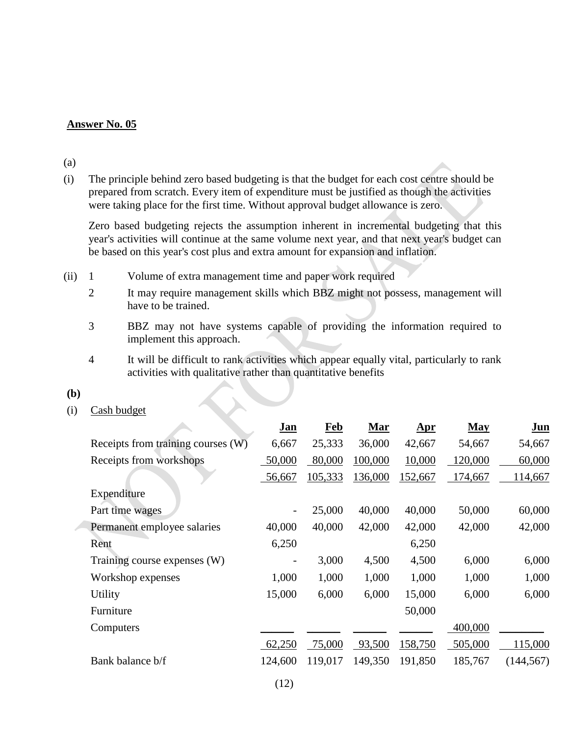#### (a)

(i) The principle behind zero based budgeting is that the budget for each cost centre should be prepared from scratch. Every item of expenditure must be justified as though the activities were taking place for the first time. Without approval budget allowance is zero.

Zero based budgeting rejects the assumption inherent in incremental budgeting that this year's activities will continue at the same volume next year, and that next year's budget can be based on this year's cost plus and extra amount for expansion and inflation.

- (ii) 1 Volume of extra management time and paper work required
	- 2 It may require management skills which BBZ might not possess, management will have to be trained.
	- 3 BBZ may not have systems capable of providing the information required to implement this approach.
	- 4 It will be difficult to rank activities which appear equally vital, particularly to rank activities with qualitative rather than quantitative benefits

**(b)** 

(i) Cash budget

|                                    | Jan               | <b>Feb</b> | Mar     | $_{\mathbf{Apr}}$ | <b>May</b> | Jun        |
|------------------------------------|-------------------|------------|---------|-------------------|------------|------------|
| Receipts from training courses (W) | 6,667             | 25,333     | 36,000  | 42,667            | 54,667     | 54,667     |
| Receipts from workshops            | 50,000            | 80,000     | 100,000 | 10,000            | 120,000    | 60,000     |
|                                    | 56,667            | 105,333    | 136,000 | 152,667           | 174,667    | 114,667    |
| Expenditure                        |                   |            |         |                   |            |            |
| Part time wages                    | $\qquad \qquad -$ | 25,000     | 40,000  | 40,000            | 50,000     | 60,000     |
| Permanent employee salaries        | 40,000            | 40,000     | 42,000  | 42,000            | 42,000     | 42,000     |
| Rent                               | 6,250             |            |         | 6,250             |            |            |
| Training course expenses (W)       |                   | 3,000      | 4,500   | 4,500             | 6,000      | 6,000      |
| Workshop expenses                  | 1,000             | 1,000      | 1,000   | 1,000             | 1,000      | 1,000      |
| <b>Utility</b>                     | 15,000            | 6,000      | 6,000   | 15,000            | 6,000      | 6,000      |
| Furniture                          |                   |            |         | 50,000            |            |            |
| Computers                          |                   |            |         |                   | 400,000    |            |
|                                    | 62,250            | 75,000     | 93,500  | 158,750           | 505,000    | 115,000    |
| Bank balance b/f                   | 124,600           | 119,017    | 149,350 | 191,850           | 185,767    | (144, 567) |
|                                    |                   |            |         |                   |            |            |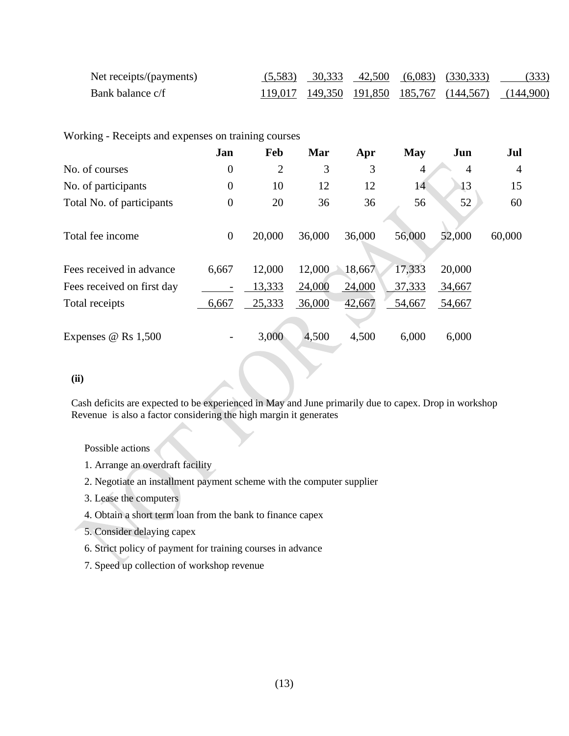| Net receipts/(payments) |  |  | $(5,583)$ $30,333$ $42,500$ $(6,083)$ $(330,333)$ | (333)                                               |
|-------------------------|--|--|---------------------------------------------------|-----------------------------------------------------|
| Bank balance c/f        |  |  |                                                   | 119,017 149,350 191,850 185,767 (144,567) (144,900) |

Working - Receipts and expenses on training courses

|                            | Jan              | Feb    | Mar    | Apr    | <b>May</b> | Jun    | Jul            |
|----------------------------|------------------|--------|--------|--------|------------|--------|----------------|
| No. of courses             | $\overline{0}$   | 2      | 3      | 3      | 4          | 4      | $\overline{4}$ |
| No. of participants        | $\overline{0}$   | 10     | 12     | 12     | 14         | 13     | 15             |
| Total No. of participants  | $\boldsymbol{0}$ | 20     | 36     | 36     | 56         | 52     | 60             |
| Total fee income           | $\mathbf{0}$     | 20,000 | 36,000 | 36,000 | 56,000     | 52,000 | 60,000         |
| Fees received in advance   | 6,667            | 12,000 | 12,000 | 18,667 | 17,333     | 20,000 |                |
| Fees received on first day |                  | 13,333 | 24,000 | 24,000 | 37,333     | 34,667 |                |
| Total receipts             | 6,667            | 25,333 | 36,000 | 42,667 | 54,667     | 54,667 |                |
|                            |                  |        |        |        |            |        |                |
| Expenses $@$ Rs $1,500$    |                  | 3,000  | 4,500  | 4,500  | 6,000      | 6,000  |                |

# **(ii)**

Cash deficits are expected to be experienced in May and June primarily due to capex. Drop in workshop Revenue is also a factor considering the high margin it generates

#### Possible actions

- 1. Arrange an overdraft facility
- 2. Negotiate an installment payment scheme with the computer supplier
- 3. Lease the computers
- 4. Obtain a short term loan from the bank to finance capex
- 5. Consider delaying capex
- 6. Strict policy of payment for training courses in advance
- 7. Speed up collection of workshop revenue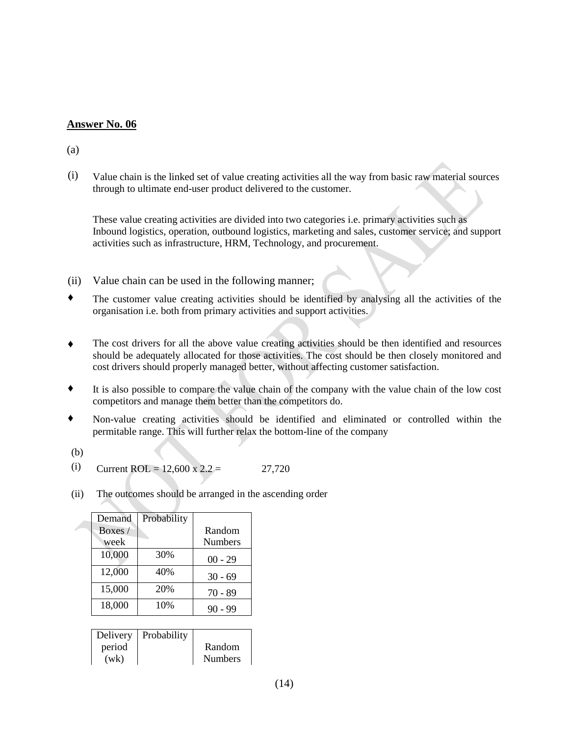(a)

(i) Value chain is the linked set of value creating activities all the way from basic raw material sources through to ultimate end-user product delivered to the customer.

These value creating activities are divided into two categories i.e. primary activities such as Inbound logistics, operation, outbound logistics, marketing and sales, customer service; and support activities such as infrastructure, HRM, Technology, and procurement.

- (ii) Value chain can be used in the following manner;
- ♦ The customer value creating activities should be identified by analysing all the activities of the organisation i.e. both from primary activities and support activities.
- ♦ The cost drivers for all the above value creating activities should be then identified and resources should be adequately allocated for those activities. The cost should be then closely monitored and cost drivers should properly managed better, without affecting customer satisfaction.
- ♦ It is also possible to compare the value chain of the company with the value chain of the low cost competitors and manage them better than the competitors do.
- ♦ Non-value creating activities should be identified and eliminated or controlled within the permitable range. This will further relax the bottom-line of the company

(b)

- (i) Current ROL =  $12,600 \times 2.2 = 27,720$
- (ii) The outcomes should be arranged in the ascending order

| Demand    | Probability |                |
|-----------|-------------|----------------|
| Boxes $/$ |             | Random         |
| week      |             | <b>Numbers</b> |
| 10,000    | 30%         | $00 - 29$      |
| 12,000    | 40%         | $30 - 69$      |
| 15,000    | 20%         | $70 - 89$      |
| 18,000    | 10%         | $90 - 99$      |

| Delivery | Probability |                |
|----------|-------------|----------------|
| period   |             | Random         |
| (wk)     |             | <b>Numbers</b> |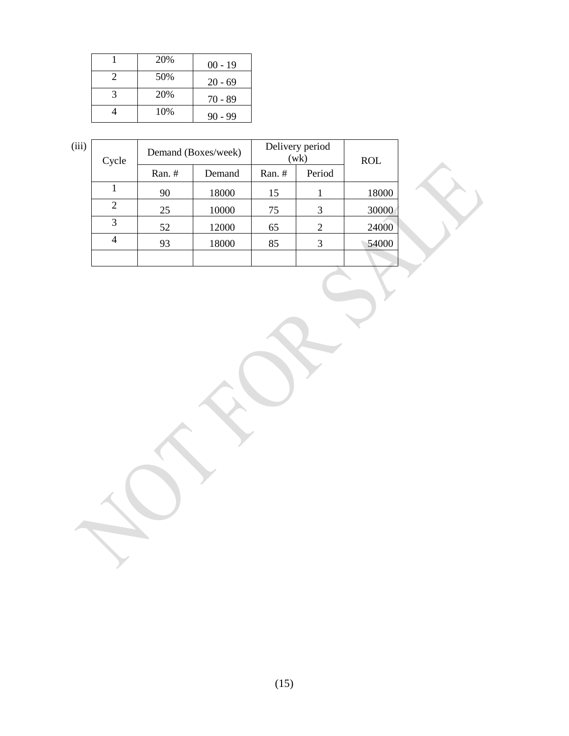| 20% | $00 - 19$ |
|-----|-----------|
| 50% | $20 - 69$ |
| 20% | $70 - 89$ |
| 10% | $90 - 99$ |

| Cycle          | Demand (Boxes/week) |        | Delivery period<br>(wk) |        | <b>ROL</b> |
|----------------|---------------------|--------|-------------------------|--------|------------|
|                | Ran. #              | Demand | Ran. $#$                | Period |            |
|                | 90                  | 18000  | 15                      |        | 18000      |
| $\overline{2}$ | 25                  | 10000  | 75                      | 3      | 30000      |
| 3              | 52                  | 12000  | 65                      | 2      | 24000      |
| 4              | 93                  | 18000  | 85                      | 3      | 54000      |
|                |                     |        |                         |        |            |